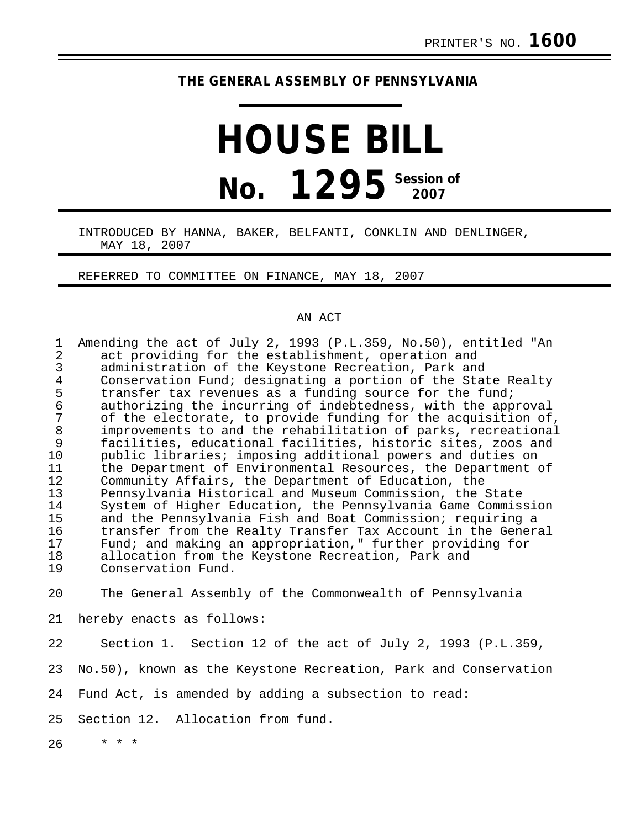## **THE GENERAL ASSEMBLY OF PENNSYLVANIA**

## **HOUSE BILL No. 1295** Session of

## INTRODUCED BY HANNA, BAKER, BELFANTI, CONKLIN AND DENLINGER, MAY 18, 2007

REFERRED TO COMMITTEE ON FINANCE, MAY 18, 2007

## AN ACT

| Amending the act of July 2, 1993 (P.L.359, No.50), entitled "An                                           |
|-----------------------------------------------------------------------------------------------------------|
| act providing for the establishment, operation and<br>administration of the Keystone Recreation, Park and |
| Conservation Fund; designating a portion of the State Realty                                              |
| transfer tax revenues as a funding source for the fund;                                                   |
| authorizing the incurring of indebtedness, with the approval                                              |
| of the electorate, to provide funding for the acquisition of,                                             |
| improvements to and the rehabilitation of parks, recreational                                             |
| facilities, educational facilities, historic sites, zoos and                                              |
| public libraries; imposing additional powers and duties on                                                |
| the Department of Environmental Resources, the Department of                                              |
| Community Affairs, the Department of Education, the                                                       |
| Pennsylvania Historical and Museum Commission, the State                                                  |
| System of Higher Education, the Pennsylvania Game Commission                                              |
| and the Pennsylvania Fish and Boat Commission; requiring a                                                |
| transfer from the Realty Transfer Tax Account in the General                                              |
| Fund; and making an appropriation," further providing for                                                 |
| allocation from the Keystone Recreation, Park and                                                         |
| Conservation Fund.                                                                                        |
| The General Assembly of the Commonwealth of Pennsylvania                                                  |
| hereby enacts as follows:                                                                                 |
| Section 1. Section 12 of the act of July 2, 1993 (P.L.359,                                                |
| No.50), known as the Keystone Recreation, Park and Conservation                                           |
| Fund Act, is amended by adding a subsection to read:                                                      |
| Section 12. Allocation from fund.                                                                         |
|                                                                                                           |

26 \* \* \*